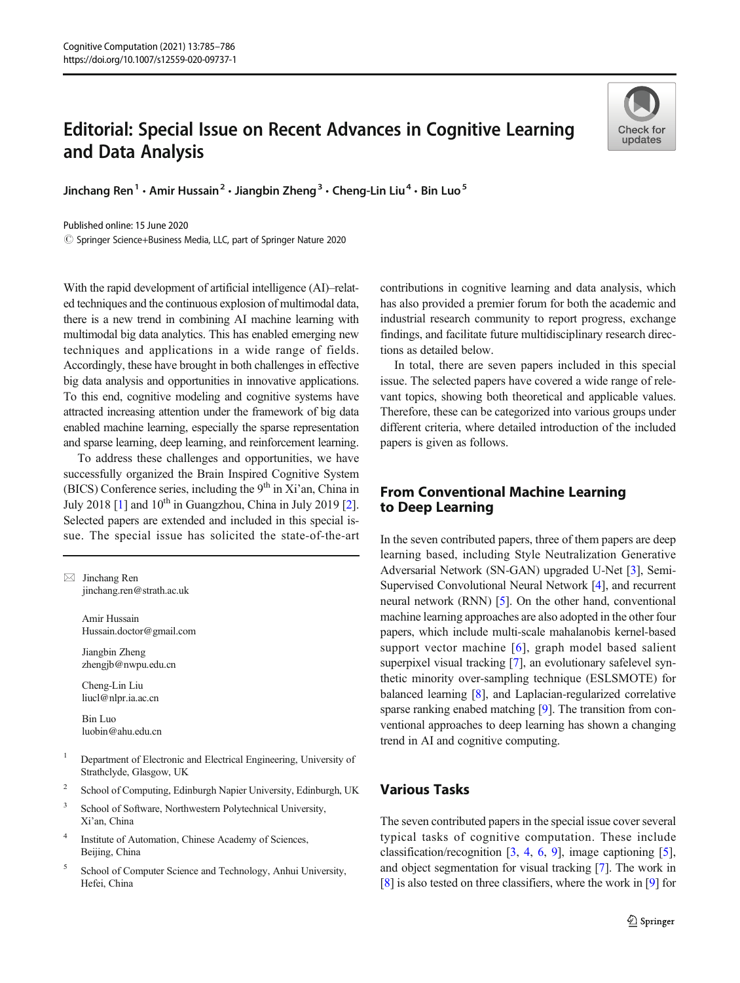# Editorial: Special Issue on Recent Advances in Cognitive Learning and Data Analysis



Jinchang Ren<sup>1</sup>  $\cdot$  Amir Hussain<sup>2</sup>  $\cdot$  Jiangbin Zheng<sup>3</sup>  $\cdot$  Cheng-Lin Liu<sup>4</sup>  $\cdot$  Bin Luo<sup>5</sup>

Published online: 15 June 2020

© Springer Science+Business Media, LLC, part of Springer Nature 2020

With the rapid development of artificial intelligence (AI)–related techniques and the continuous explosion of multimodal data, there is a new trend in combining AI machine learning with multimodal big data analytics. This has enabled emerging new techniques and applications in a wide range of fields. Accordingly, these have brought in both challenges in effective big data analysis and opportunities in innovative applications. To this end, cognitive modeling and cognitive systems have attracted increasing attention under the framework of big data enabled machine learning, especially the sparse representation and sparse learning, deep learning, and reinforcement learning.

To address these challenges and opportunities, we have successfully organized the Brain Inspired Cognitive System (BICS) Conference series, including the  $9<sup>th</sup>$  in Xi'an, China in July 2018  $[1]$  $[1]$  and  $10^{th}$  in Guangzhou, China in July 2019  $[2]$  $[2]$ . Selected papers are extended and included in this special issue. The special issue has solicited the state-of-the-art

 $\boxtimes$  Jinchang Ren [jinchang.ren@strath.ac.uk](mailto:jinchang.ren@strath.ac.uk)

> Amir Hussain Hussain.doctor@gmail.com

Jiangbin Zheng zhengjb@nwpu.edu.cn

Cheng-Lin Liu liucl@nlpr.ia.ac.cn

Bin Luo luobin@ahu.edu.cn

- <sup>1</sup> Department of Electronic and Electrical Engineering, University of Strathclyde, Glasgow, UK
- <sup>2</sup> School of Computing, Edinburgh Napier University, Edinburgh, UK
- <sup>3</sup> School of Software, Northwestern Polytechnical University, Xi'an, China
- <sup>4</sup> Institute of Automation, Chinese Academy of Sciences, Beijing, China
- <sup>5</sup> School of Computer Science and Technology, Anhui University, Hefei, China

contributions in cognitive learning and data analysis, which has also provided a premier forum for both the academic and industrial research community to report progress, exchange findings, and facilitate future multidisciplinary research directions as detailed below.

In total, there are seven papers included in this special issue. The selected papers have covered a wide range of relevant topics, showing both theoretical and applicable values. Therefore, these can be categorized into various groups under different criteria, where detailed introduction of the included papers is given as follows.

## to Deep Learning to Deep Learning

In the seven contributed papers, three of them papers are deep learning based, including Style Neutralization Generative Adversarial Network (SN-GAN) upgraded U-Net [[3](#page-1-0)], Semi-Supervised Convolutional Neural Network [\[4](#page-1-0)], and recurrent neural network (RNN) [\[5\]](#page-1-0). On the other hand, conventional machine learning approaches are also adopted in the other four papers, which include multi-scale mahalanobis kernel-based support vector machine [[6](#page-1-0)], graph model based salient superpixel visual tracking [\[7\]](#page-1-0), an evolutionary safelevel synthetic minority over-sampling technique (ESLSMOTE) for balanced learning [[8\]](#page-1-0), and Laplacian-regularized correlative sparse ranking enabed matching [\[9](#page-1-0)]. The transition from conventional approaches to deep learning has shown a changing trend in AI and cognitive computing.

### **Various Tasks**

The seven contributed papers in the special issue cover several typical tasks of cognitive computation. These include classification/recognition [[3,](#page-1-0) [4,](#page-1-0) [6,](#page-1-0) [9\]](#page-1-0), image captioning [[5\]](#page-1-0), and object segmentation for visual tracking [\[7](#page-1-0)]. The work in [\[8](#page-1-0)] is also tested on three classifiers, where the work in [[9\]](#page-1-0) for